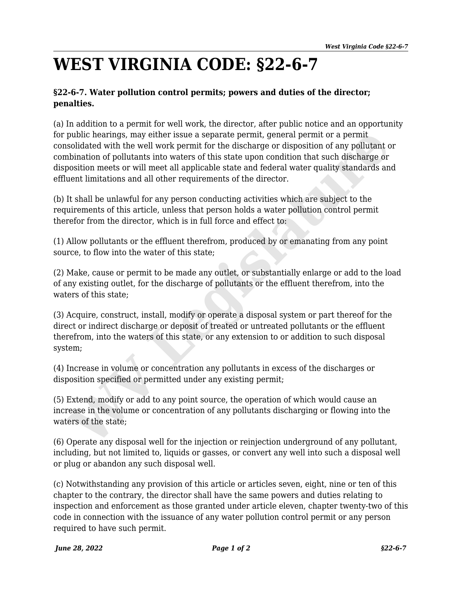## **WEST VIRGINIA CODE: §22-6-7**

## **§22-6-7. Water pollution control permits; powers and duties of the director; penalties.**

(a) In addition to a permit for well work, the director, after public notice and an opportunity for public hearings, may either issue a separate permit, general permit or a permit consolidated with the well work permit for the discharge or disposition of any pollutant or combination of pollutants into waters of this state upon condition that such discharge or disposition meets or will meet all applicable state and federal water quality standards and effluent limitations and all other requirements of the director. public hearings, may either issue a separate permit, general permit or a permit<br>solidated with the well work permit for the discharge or disposition of any pollutant<br>solidated with the well work permit for the discharge or

(b) It shall be unlawful for any person conducting activities which are subject to the requirements of this article, unless that person holds a water pollution control permit therefor from the director, which is in full force and effect to:

(1) Allow pollutants or the effluent therefrom, produced by or emanating from any point source, to flow into the water of this state;

(2) Make, cause or permit to be made any outlet, or substantially enlarge or add to the load of any existing outlet, for the discharge of pollutants or the effluent therefrom, into the waters of this state;

(3) Acquire, construct, install, modify or operate a disposal system or part thereof for the direct or indirect discharge or deposit of treated or untreated pollutants or the effluent therefrom, into the waters of this state, or any extension to or addition to such disposal system;

(4) Increase in volume or concentration any pollutants in excess of the discharges or disposition specified or permitted under any existing permit;

(5) Extend, modify or add to any point source, the operation of which would cause an increase in the volume or concentration of any pollutants discharging or flowing into the waters of the state;

(6) Operate any disposal well for the injection or reinjection underground of any pollutant, including, but not limited to, liquids or gasses, or convert any well into such a disposal well or plug or abandon any such disposal well.

(c) Notwithstanding any provision of this article or articles seven, eight, nine or ten of this chapter to the contrary, the director shall have the same powers and duties relating to inspection and enforcement as those granted under article eleven, chapter twenty-two of this code in connection with the issuance of any water pollution control permit or any person required to have such permit.